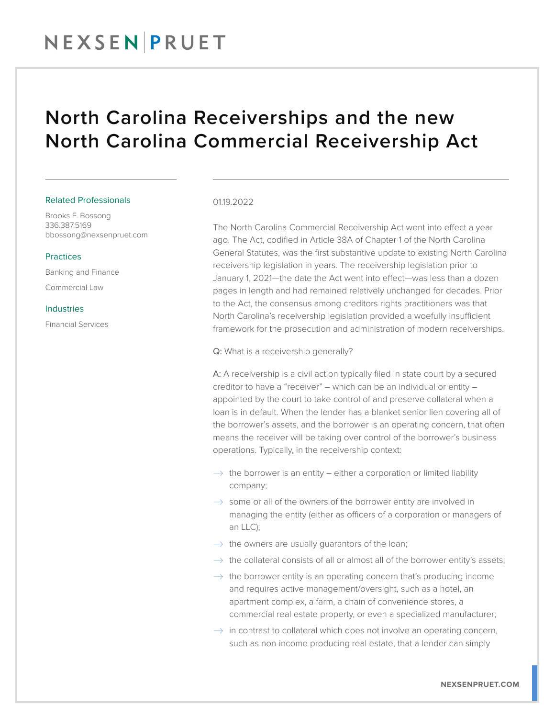### North Carolina Receiverships and the new North Carolina Commercial Receivership Act

#### Related Professionals

Brooks F. Bossong 336.387.5169 bbossong@nexsenpruet.com

#### Practices

Banking and Finance Commercial Law

### Industries

Financial Services

#### 0119.2022

The North Carolina Commercial Receivership Act went into effect a year ago. The Act, codified in Article 38A of Chapter 1 of the North Carolina General Statutes, was the first substantive update to existing North Carolina receivership legislation in years. The receivership legislation prior to January 1, 2021—the date the Act went into effect—was less than a dozen pages in length and had remained relatively unchanged for decades. Prior to the Act, the consensus among creditors rights practitioners was that North Carolina's receivership legislation provided a woefully insufficient framework for the prosecution and administration of modern receiverships.

Q: What is a receivership generally?

A: A receivership is a civil action typically filed in state court by a secured creditor to have a "receiver" – which can be an individual or entity – appointed by the court to take control of and preserve collateral when a loan is in default. When the lender has a blanket senior lien covering all of the borrower's assets, and the borrower is an operating concern, that often means the receiver will be taking over control of the borrower's business operations. Typically, in the receivership context:

- $\rightarrow$  the borrower is an entity either a corporation or limited liability company;
- $\rightarrow$  some or all of the owners of the borrower entity are involved in managing the entity (either as officers of a corporation or managers of an LLC);
- $\rightarrow$  the owners are usually guarantors of the loan;
- $\rightarrow$  the collateral consists of all or almost all of the borrower entity's assets;
- $\rightarrow$  the borrower entity is an operating concern that's producing income and requires active management/oversight, such as a hotel, an apartment complex, a farm, a chain of convenience stores, a commercial real estate property, or even a specialized manufacturer;
- $\rightarrow$  in contrast to collateral which does not involve an operating concern, such as non-income producing real estate, that a lender can simply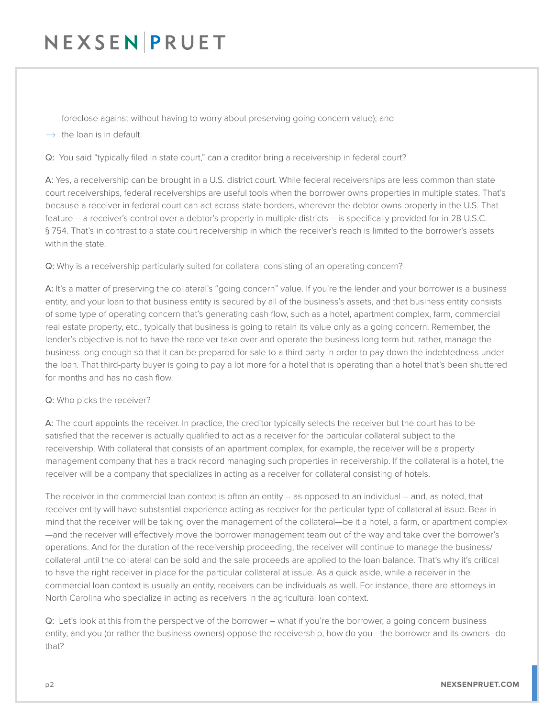foreclose against without having to worry about preserving going concern value); and

 $\rightarrow$  the loan is in default.

Q: You said "typically filed in state court," can a creditor bring a receivership in federal court?

A: Yes, a receivership can be brought in a U.S. district court. While federal receiverships are less common than state court receiverships, federal receiverships are useful tools when the borrower owns properties in multiple states. That's because a receiver in federal court can act across state borders, wherever the debtor owns property in the U.S. That feature – a receiver's control over a debtor's property in multiple districts – is specifically provided for in 28 U.S.C. § 754. That's in contrast to a state court receivership in which the receiver's reach is limited to the borrower's assets within the state.

Q: Why is a receivership particularly suited for collateral consisting of an operating concern?

A: It's a matter of preserving the collateral's "going concern" value. If you're the lender and your borrower is a business entity, and your loan to that business entity is secured by all of the business's assets, and that business entity consists of some type of operating concern that's generating cash flow, such as a hotel, apartment complex, farm, commercial real estate property, etc., typically that business is going to retain its value only as a going concern. Remember, the lender's objective is not to have the receiver take over and operate the business long term but, rather, manage the business long enough so that it can be prepared for sale to a third party in order to pay down the indebtedness under the loan. That third-party buyer is going to pay a lot more for a hotel that is operating than a hotel that's been shuttered for months and has no cash flow.

#### Q: Who picks the receiver?

A: The court appoints the receiver. In practice, the creditor typically selects the receiver but the court has to be satisfied that the receiver is actually qualified to act as a receiver for the particular collateral subject to the receivership. With collateral that consists of an apartment complex, for example, the receiver will be a property management company that has a track record managing such properties in receivership. If the collateral is a hotel, the receiver will be a company that specializes in acting as a receiver for collateral consisting of hotels.

The receiver in the commercial loan context is often an entity -- as opposed to an individual – and, as noted, that receiver entity will have substantial experience acting as receiver for the particular type of collateral at issue. Bear in mind that the receiver will be taking over the management of the collateral—be it a hotel, a farm, or apartment complex —and the receiver will effectively move the borrower management team out of the way and take over the borrower's operations. And for the duration of the receivership proceeding, the receiver will continue to manage the business/ collateral until the collateral can be sold and the sale proceeds are applied to the loan balance. That's why it's critical to have the right receiver in place for the particular collateral at issue. As a quick aside, while a receiver in the commercial loan context is usually an entity, receivers can be individuals as well. For instance, there are attorneys in North Carolina who specialize in acting as receivers in the agricultural loan context.

Q: Let's look at this from the perspective of the borrower – what if you're the borrower, a going concern business entity, and you (or rather the business owners) oppose the receivership, how do you—the borrower and its owners--do that?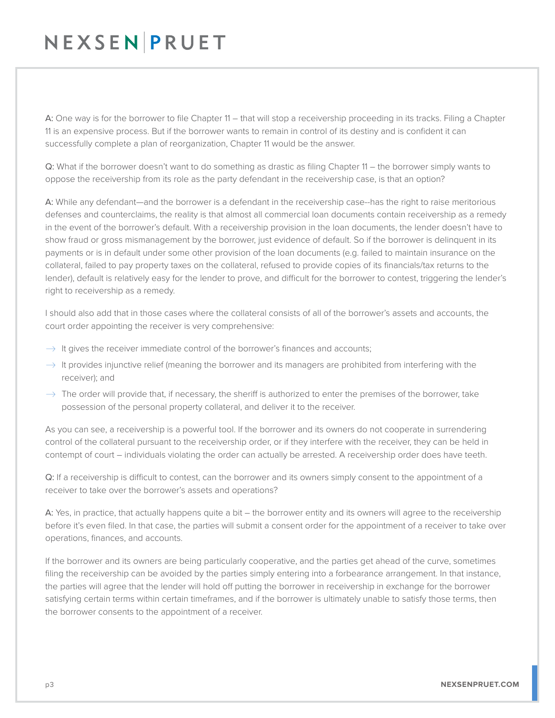A: One way is for the borrower to file Chapter 11 – that will stop a receivership proceeding in its tracks. Filing a Chapter 11 is an expensive process. But if the borrower wants to remain in control of its destiny and is confident it can successfully complete a plan of reorganization, Chapter 11 would be the answer.

Q: What if the borrower doesn't want to do something as drastic as filing Chapter 11 – the borrower simply wants to oppose the receivership from its role as the party defendant in the receivership case, is that an option?

A: While any defendant—and the borrower is a defendant in the receivership case--has the right to raise meritorious defenses and counterclaims, the reality is that almost all commercial loan documents contain receivership as a remedy in the event of the borrower's default. With a receivership provision in the loan documents, the lender doesn't have to show fraud or gross mismanagement by the borrower, just evidence of default. So if the borrower is delinquent in its payments or is in default under some other provision of the loan documents (e.g. failed to maintain insurance on the collateral, failed to pay property taxes on the collateral, refused to provide copies of its financials/tax returns to the lender), default is relatively easy for the lender to prove, and difficult for the borrower to contest, triggering the lender's right to receivership as a remedy.

I should also add that in those cases where the collateral consists of all of the borrower's assets and accounts, the court order appointing the receiver is very comprehensive:

- $\rightarrow$  It gives the receiver immediate control of the borrower's finances and accounts;
- $\rightarrow$  It provides injunctive relief (meaning the borrower and its managers are prohibited from interfering with the receiver); and
- $\rightarrow$  The order will provide that, if necessary, the sheriff is authorized to enter the premises of the borrower, take possession of the personal property collateral, and deliver it to the receiver.

As you can see, a receivership is a powerful tool. If the borrower and its owners do not cooperate in surrendering control of the collateral pursuant to the receivership order, or if they interfere with the receiver, they can be held in contempt of court – individuals violating the order can actually be arrested. A receivership order does have teeth.

Q: If a receivership is difficult to contest, can the borrower and its owners simply consent to the appointment of a receiver to take over the borrower's assets and operations?

A: Yes, in practice, that actually happens quite a bit – the borrower entity and its owners will agree to the receivership before it's even filed. In that case, the parties will submit a consent order for the appointment of a receiver to take over operations, finances, and accounts.

If the borrower and its owners are being particularly cooperative, and the parties get ahead of the curve, sometimes filing the receivership can be avoided by the parties simply entering into a forbearance arrangement. In that instance, the parties will agree that the lender will hold off putting the borrower in receivership in exchange for the borrower satisfying certain terms within certain timeframes, and if the borrower is ultimately unable to satisfy those terms, then the borrower consents to the appointment of a receiver.